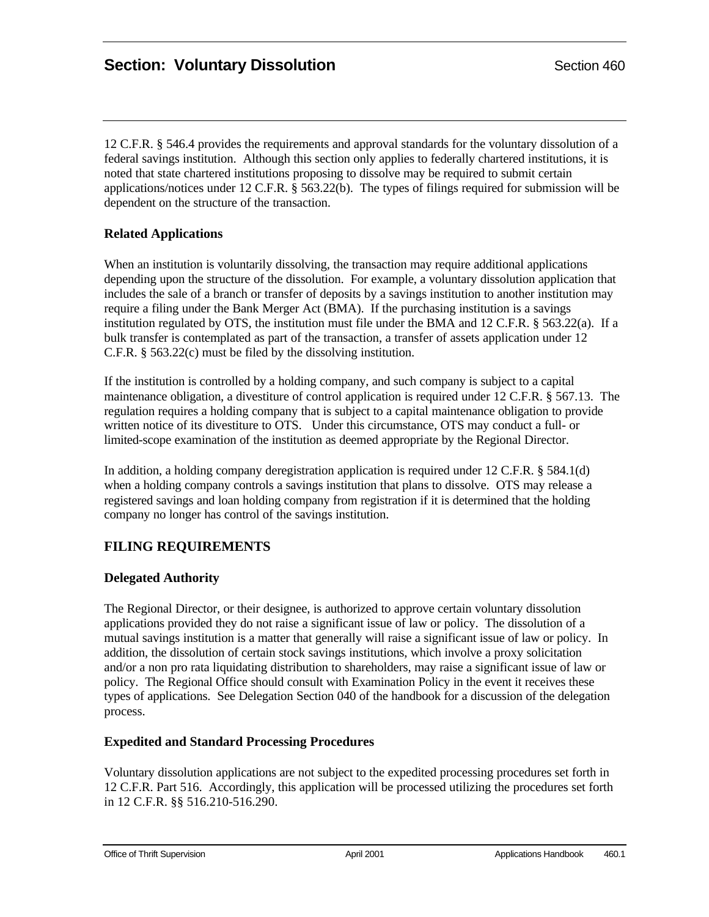12 C.F.R. § 546.4 provides the requirements and approval standards for the voluntary dissolution of a federal savings institution. Although this section only applies to federally chartered institutions, it is noted that state chartered institutions proposing to dissolve may be required to submit certain applications/notices under 12 C.F.R. § 563.22(b). The types of filings required for submission will be dependent on the structure of the transaction.

## **Related Applications**

When an institution is voluntarily dissolving, the transaction may require additional applications depending upon the structure of the dissolution. For example, a voluntary dissolution application that includes the sale of a branch or transfer of deposits by a savings institution to another institution may require a filing under the Bank Merger Act (BMA). If the purchasing institution is a savings institution regulated by OTS, the institution must file under the BMA and 12 C.F.R. § 563.22(a). If a bulk transfer is contemplated as part of the transaction, a transfer of assets application under 12 C.F.R. § 563.22(c) must be filed by the dissolving institution.

If the institution is controlled by a holding company, and such company is subject to a capital maintenance obligation, a divestiture of control application is required under 12 C.F.R. § 567.13. The regulation requires a holding company that is subject to a capital maintenance obligation to provide written notice of its divestiture to OTS. Under this circumstance, OTS may conduct a full- or limited-scope examination of the institution as deemed appropriate by the Regional Director.

In addition, a holding company deregistration application is required under 12 C.F.R. § 584.1(d) when a holding company controls a savings institution that plans to dissolve. OTS may release a registered savings and loan holding company from registration if it is determined that the holding company no longer has control of the savings institution.

# **FILING REQUIREMENTS**

## **Delegated Authority**

The Regional Director, or their designee, is authorized to approve certain voluntary dissolution applications provided they do not raise a significant issue of law or policy. The dissolution of a mutual savings institution is a matter that generally will raise a significant issue of law or policy. In addition, the dissolution of certain stock savings institutions, which involve a proxy solicitation and/or a non pro rata liquidating distribution to shareholders, may raise a significant issue of law or policy. The Regional Office should consult with Examination Policy in the event it receives these types of applications. See Delegation Section 040 of the handbook for a discussion of the delegation process.

## **Expedited and Standard Processing Procedures**

Voluntary dissolution applications are not subject to the expedited processing procedures set forth in 12 C.F.R. Part 516. Accordingly, this application will be processed utilizing the procedures set forth in 12 C.F.R. §§ 516.210-516.290.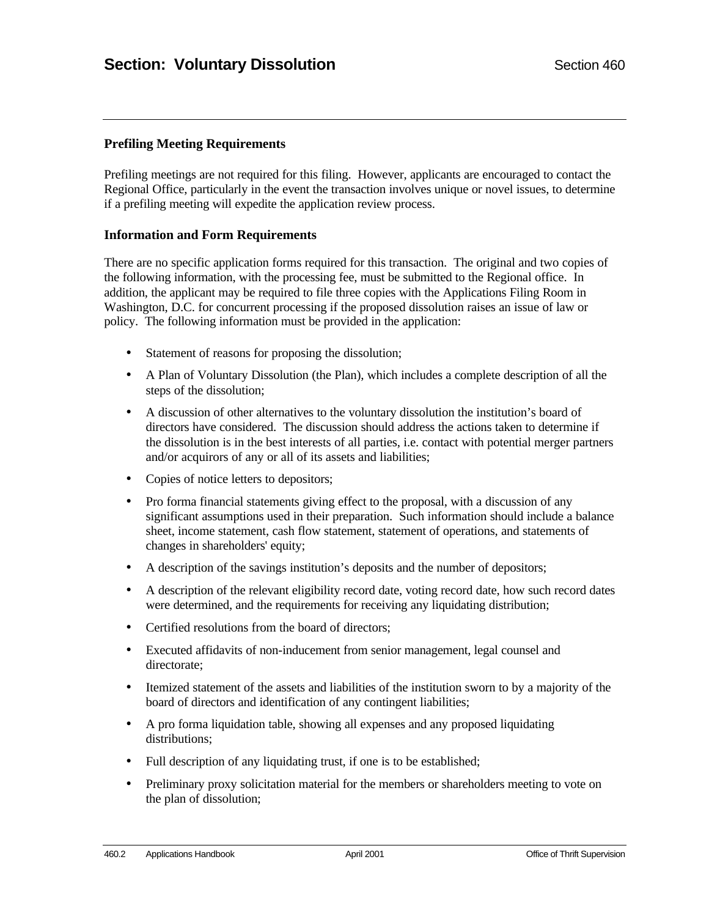### **Prefiling Meeting Requirements**

Prefiling meetings are not required for this filing. However, applicants are encouraged to contact the Regional Office, particularly in the event the transaction involves unique or novel issues, to determine if a prefiling meeting will expedite the application review process.

#### **Information and Form Requirements**

There are no specific application forms required for this transaction. The original and two copies of the following information, with the processing fee, must be submitted to the Regional office. In addition, the applicant may be required to file three copies with the Applications Filing Room in Washington, D.C. for concurrent processing if the proposed dissolution raises an issue of law or policy. The following information must be provided in the application:

- Statement of reasons for proposing the dissolution;
- A Plan of Voluntary Dissolution (the Plan), which includes a complete description of all the steps of the dissolution;
- A discussion of other alternatives to the voluntary dissolution the institution's board of directors have considered. The discussion should address the actions taken to determine if the dissolution is in the best interests of all parties, i.e. contact with potential merger partners and/or acquirors of any or all of its assets and liabilities;
- Copies of notice letters to depositors;
- Pro forma financial statements giving effect to the proposal, with a discussion of any significant assumptions used in their preparation. Such information should include a balance sheet, income statement, cash flow statement, statement of operations, and statements of changes in shareholders' equity;
- A description of the savings institution's deposits and the number of depositors;
- A description of the relevant eligibility record date, voting record date, how such record dates were determined, and the requirements for receiving any liquidating distribution;
- Certified resolutions from the board of directors;
- Executed affidavits of non-inducement from senior management, legal counsel and directorate;
- Itemized statement of the assets and liabilities of the institution sworn to by a majority of the board of directors and identification of any contingent liabilities;
- A pro forma liquidation table, showing all expenses and any proposed liquidating distributions;
- Full description of any liquidating trust, if one is to be established;
- Preliminary proxy solicitation material for the members or shareholders meeting to vote on the plan of dissolution;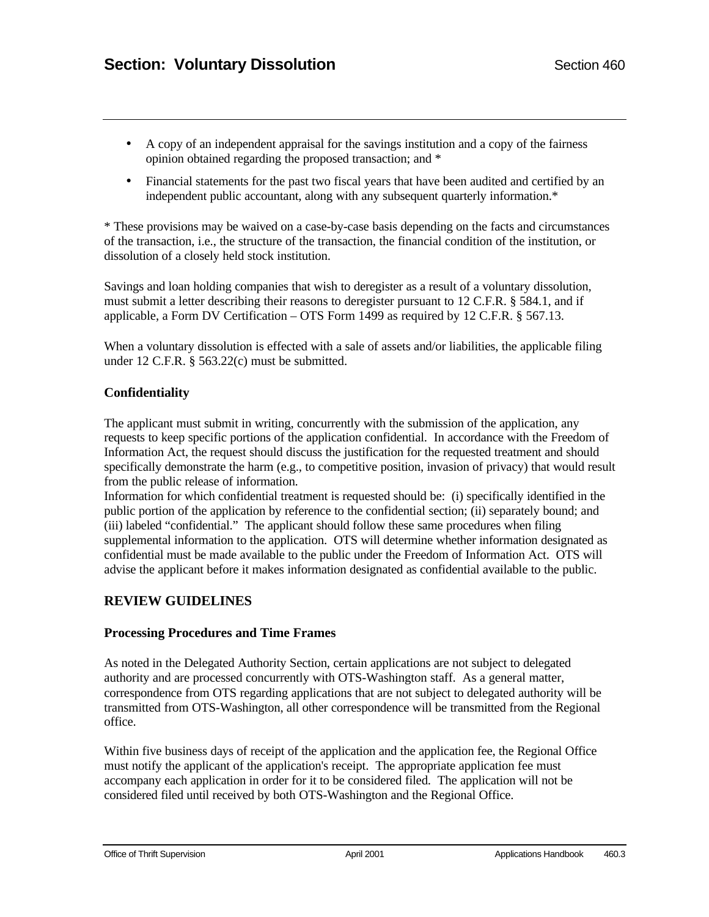- A copy of an independent appraisal for the savings institution and a copy of the fairness opinion obtained regarding the proposed transaction; and \*
- Financial statements for the past two fiscal years that have been audited and certified by an independent public accountant, along with any subsequent quarterly information.\*

\* These provisions may be waived on a case-by-case basis depending on the facts and circumstances of the transaction, i.e., the structure of the transaction, the financial condition of the institution, or dissolution of a closely held stock institution.

Savings and loan holding companies that wish to deregister as a result of a voluntary dissolution, must submit a letter describing their reasons to deregister pursuant to 12 C.F.R. § 584.1, and if applicable, a Form DV Certification – OTS Form 1499 as required by 12 C.F.R. § 567.13.

When a voluntary dissolution is effected with a sale of assets and/or liabilities, the applicable filing under 12 C.F.R. § 563.22(c) must be submitted.

### **Confidentiality**

The applicant must submit in writing, concurrently with the submission of the application, any requests to keep specific portions of the application confidential. In accordance with the Freedom of Information Act, the request should discuss the justification for the requested treatment and should specifically demonstrate the harm (e.g., to competitive position, invasion of privacy) that would result from the public release of information.

Information for which confidential treatment is requested should be: (i) specifically identified in the public portion of the application by reference to the confidential section; (ii) separately bound; and (iii) labeled "confidential." The applicant should follow these same procedures when filing supplemental information to the application. OTS will determine whether information designated as confidential must be made available to the public under the Freedom of Information Act. OTS will advise the applicant before it makes information designated as confidential available to the public.

## **REVIEW GUIDELINES**

### **Processing Procedures and Time Frames**

As noted in the Delegated Authority Section, certain applications are not subject to delegated authority and are processed concurrently with OTS-Washington staff. As a general matter, correspondence from OTS regarding applications that are not subject to delegated authority will be transmitted from OTS-Washington, all other correspondence will be transmitted from the Regional office.

Within five business days of receipt of the application and the application fee, the Regional Office must notify the applicant of the application's receipt. The appropriate application fee must accompany each application in order for it to be considered filed. The application will not be considered filed until received by both OTS-Washington and the Regional Office.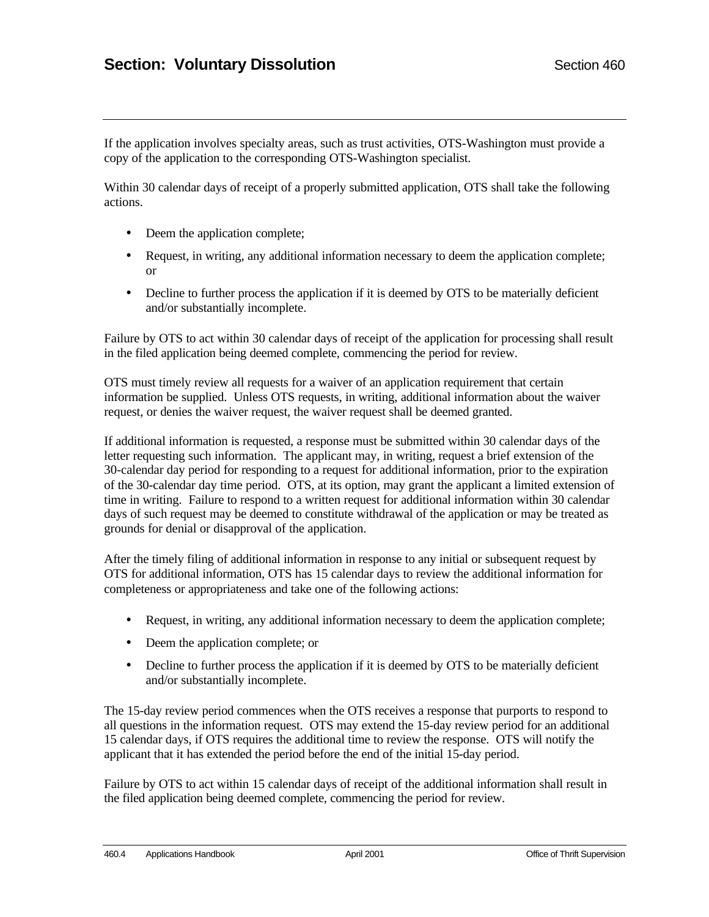If the application involves specialty areas, such as trust activities, OTS-Washington must provide a copy of the application to the corresponding OTS-Washington specialist.

Within 30 calendar days of receipt of a properly submitted application, OTS shall take the following actions.

- Deem the application complete;
- Request, in writing, any additional information necessary to deem the application complete; or
- Decline to further process the application if it is deemed by OTS to be materially deficient and/or substantially incomplete.

Failure by OTS to act within 30 calendar days of receipt of the application for processing shall result in the filed application being deemed complete, commencing the period for review.

OTS must timely review all requests for a waiver of an application requirement that certain information be supplied. Unless OTS requests, in writing, additional information about the waiver request, or denies the waiver request, the waiver request shall be deemed granted.

If additional information is requested, a response must be submitted within 30 calendar days of the letter requesting such information. The applicant may, in writing, request a brief extension of the 30-calendar day period for responding to a request for additional information, prior to the expiration of the 30-calendar day time period. OTS, at its option, may grant the applicant a limited extension of time in writing. Failure to respond to a written request for additional information within 30 calendar days of such request may be deemed to constitute withdrawal of the application or may be treated as grounds for denial or disapproval of the application.

After the timely filing of additional information in response to any initial or subsequent request by OTS for additional information, OTS has 15 calendar days to review the additional information for completeness or appropriateness and take one of the following actions:

- Request, in writing, any additional information necessary to deem the application complete;
- Deem the application complete; or
- Decline to further process the application if it is deemed by OTS to be materially deficient and/or substantially incomplete.

The 15-day review period commences when the OTS receives a response that purports to respond to all questions in the information request. OTS may extend the 15-day review period for an additional 15 calendar days, if OTS requires the additional time to review the response. OTS will notify the applicant that it has extended the period before the end of the initial 15-day period.

Failure by OTS to act within 15 calendar days of receipt of the additional information shall result in the filed application being deemed complete, commencing the period for review.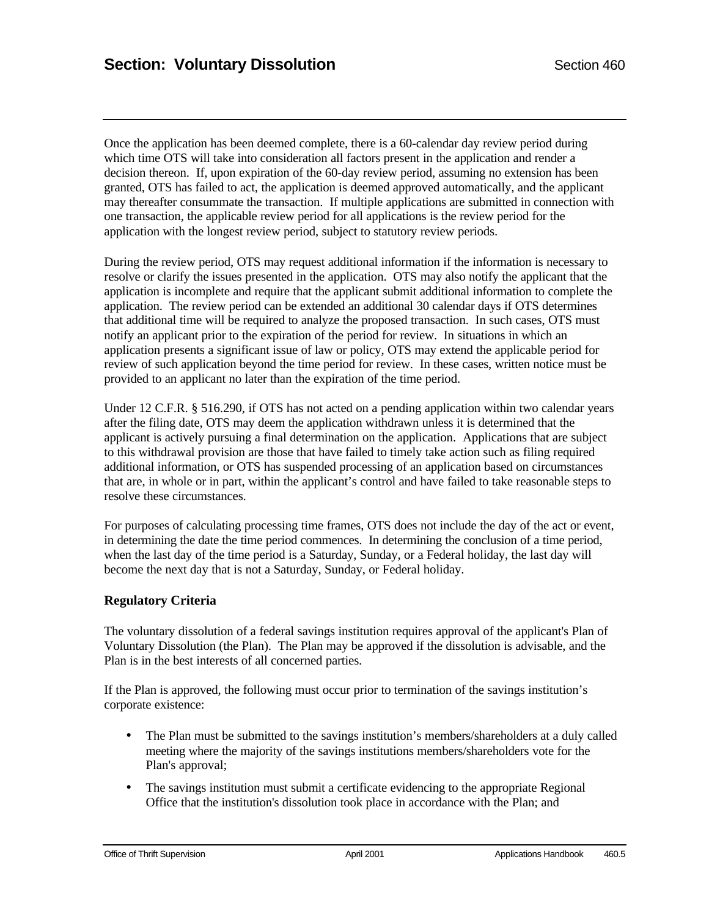Once the application has been deemed complete, there is a 60-calendar day review period during which time OTS will take into consideration all factors present in the application and render a decision thereon. If, upon expiration of the 60-day review period, assuming no extension has been granted, OTS has failed to act, the application is deemed approved automatically, and the applicant may thereafter consummate the transaction. If multiple applications are submitted in connection with one transaction, the applicable review period for all applications is the review period for the application with the longest review period, subject to statutory review periods.

During the review period, OTS may request additional information if the information is necessary to resolve or clarify the issues presented in the application. OTS may also notify the applicant that the application is incomplete and require that the applicant submit additional information to complete the application. The review period can be extended an additional 30 calendar days if OTS determines that additional time will be required to analyze the proposed transaction. In such cases, OTS must notify an applicant prior to the expiration of the period for review. In situations in which an application presents a significant issue of law or policy, OTS may extend the applicable period for review of such application beyond the time period for review. In these cases, written notice must be provided to an applicant no later than the expiration of the time period.

Under 12 C.F.R. § 516.290, if OTS has not acted on a pending application within two calendar years after the filing date, OTS may deem the application withdrawn unless it is determined that the applicant is actively pursuing a final determination on the application. Applications that are subject to this withdrawal provision are those that have failed to timely take action such as filing required additional information, or OTS has suspended processing of an application based on circumstances that are, in whole or in part, within the applicant's control and have failed to take reasonable steps to resolve these circumstances.

For purposes of calculating processing time frames, OTS does not include the day of the act or event, in determining the date the time period commences. In determining the conclusion of a time period, when the last day of the time period is a Saturday, Sunday, or a Federal holiday, the last day will become the next day that is not a Saturday, Sunday, or Federal holiday.

### **Regulatory Criteria**

The voluntary dissolution of a federal savings institution requires approval of the applicant's Plan of Voluntary Dissolution (the Plan). The Plan may be approved if the dissolution is advisable, and the Plan is in the best interests of all concerned parties.

If the Plan is approved, the following must occur prior to termination of the savings institution's corporate existence:

- The Plan must be submitted to the savings institution's members/shareholders at a duly called meeting where the majority of the savings institutions members/shareholders vote for the Plan's approval;
- The savings institution must submit a certificate evidencing to the appropriate Regional Office that the institution's dissolution took place in accordance with the Plan; and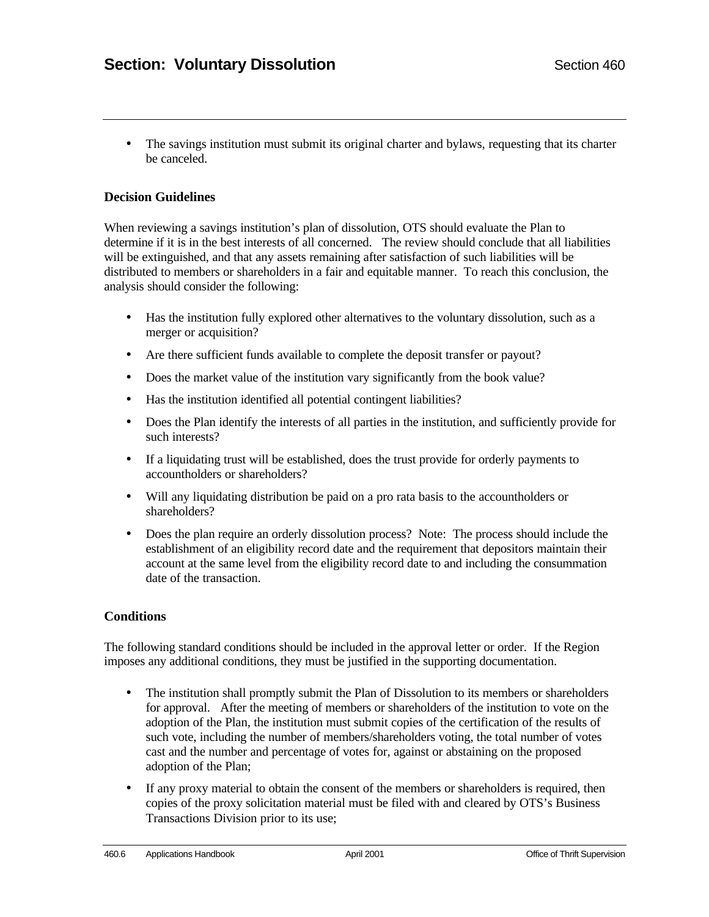• The savings institution must submit its original charter and bylaws, requesting that its charter be canceled.

### **Decision Guidelines**

When reviewing a savings institution's plan of dissolution, OTS should evaluate the Plan to determine if it is in the best interests of all concerned. The review should conclude that all liabilities will be extinguished, and that any assets remaining after satisfaction of such liabilities will be distributed to members or shareholders in a fair and equitable manner. To reach this conclusion, the analysis should consider the following:

- Has the institution fully explored other alternatives to the voluntary dissolution, such as a merger or acquisition?
- Are there sufficient funds available to complete the deposit transfer or payout?
- Does the market value of the institution vary significantly from the book value?
- Has the institution identified all potential contingent liabilities?
- Does the Plan identify the interests of all parties in the institution, and sufficiently provide for such interests?
- If a liquidating trust will be established, does the trust provide for orderly payments to accountholders or shareholders?
- Will any liquidating distribution be paid on a pro rata basis to the accountholders or shareholders?
- Does the plan require an orderly dissolution process? Note: The process should include the establishment of an eligibility record date and the requirement that depositors maintain their account at the same level from the eligibility record date to and including the consummation date of the transaction.

### **Conditions**

The following standard conditions should be included in the approval letter or order. If the Region imposes any additional conditions, they must be justified in the supporting documentation.

- The institution shall promptly submit the Plan of Dissolution to its members or shareholders for approval. After the meeting of members or shareholders of the institution to vote on the adoption of the Plan, the institution must submit copies of the certification of the results of such vote, including the number of members/shareholders voting, the total number of votes cast and the number and percentage of votes for, against or abstaining on the proposed adoption of the Plan;
- If any proxy material to obtain the consent of the members or shareholders is required, then copies of the proxy solicitation material must be filed with and cleared by OTS's Business Transactions Division prior to its use;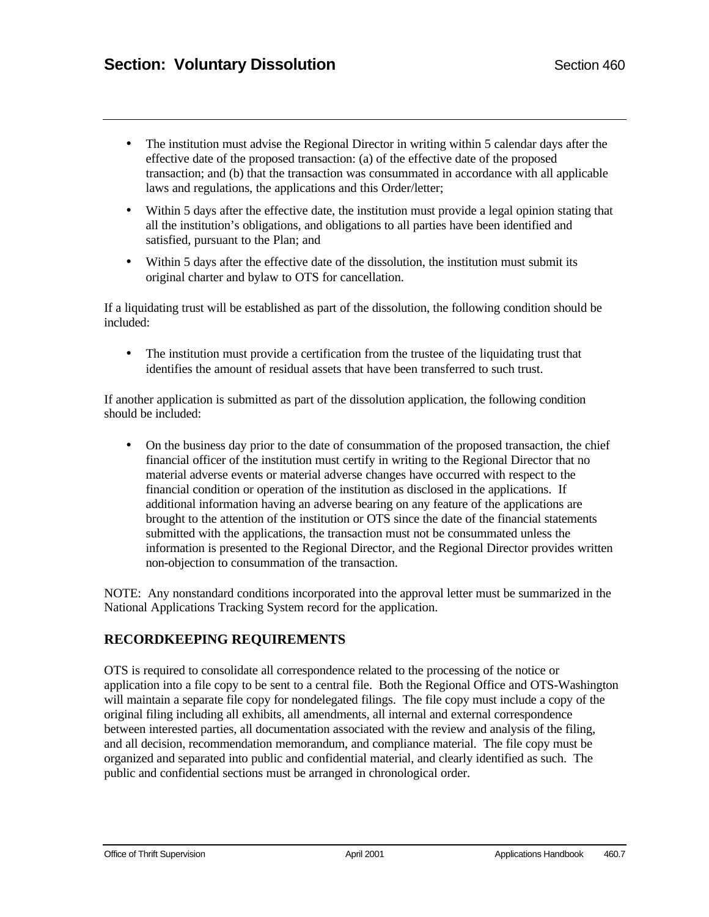- The institution must advise the Regional Director in writing within 5 calendar days after the effective date of the proposed transaction: (a) of the effective date of the proposed transaction; and (b) that the transaction was consummated in accordance with all applicable laws and regulations, the applications and this Order/letter;
- Within 5 days after the effective date, the institution must provide a legal opinion stating that all the institution's obligations, and obligations to all parties have been identified and satisfied, pursuant to the Plan; and
- Within 5 days after the effective date of the dissolution, the institution must submit its original charter and bylaw to OTS for cancellation.

If a liquidating trust will be established as part of the dissolution, the following condition should be included:

• The institution must provide a certification from the trustee of the liquidating trust that identifies the amount of residual assets that have been transferred to such trust.

If another application is submitted as part of the dissolution application, the following condition should be included:

• On the business day prior to the date of consummation of the proposed transaction, the chief financial officer of the institution must certify in writing to the Regional Director that no material adverse events or material adverse changes have occurred with respect to the financial condition or operation of the institution as disclosed in the applications. If additional information having an adverse bearing on any feature of the applications are brought to the attention of the institution or OTS since the date of the financial statements submitted with the applications, the transaction must not be consummated unless the information is presented to the Regional Director, and the Regional Director provides written non-objection to consummation of the transaction.

NOTE: Any nonstandard conditions incorporated into the approval letter must be summarized in the National Applications Tracking System record for the application.

## **RECORDKEEPING REQUIREMENTS**

OTS is required to consolidate all correspondence related to the processing of the notice or application into a file copy to be sent to a central file. Both the Regional Office and OTS-Washington will maintain a separate file copy for nondelegated filings. The file copy must include a copy of the original filing including all exhibits, all amendments, all internal and external correspondence between interested parties, all documentation associated with the review and analysis of the filing, and all decision, recommendation memorandum, and compliance material. The file copy must be organized and separated into public and confidential material, and clearly identified as such. The public and confidential sections must be arranged in chronological order.